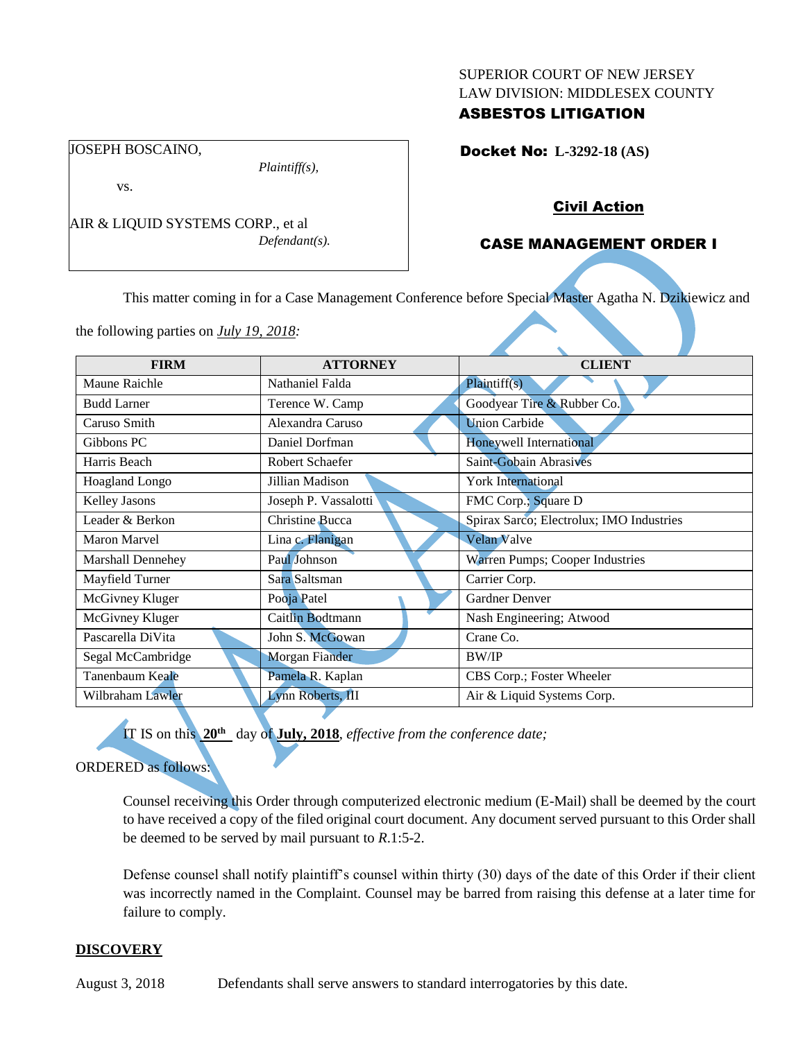#### SUPERIOR COURT OF NEW JERSEY LAW DIVISION: MIDDLESEX COUNTY

# ASBESTOS LITIGATION

Docket No: **L-3292-18 (AS)** 

vs.

JOSEPH BOSCAINO,

AIR & LIQUID SYSTEMS CORP., et al *Defendant(s).*

*Plaintiff(s),*

# Civil Action

# CASE MANAGEMENT ORDER I

This matter coming in for a Case Management Conference before Special Master Agatha N. Dzikiewicz and

the following parties on *July 19, 2018:*

| <b>FIRM</b>        | <b>ATTORNEY</b>       | <b>CLIENT</b>                            |
|--------------------|-----------------------|------------------------------------------|
| Maune Raichle      | Nathaniel Falda       | Plaintiff(s)                             |
| <b>Budd Larner</b> | Terence W. Camp       | Goodyear Tire & Rubber Co.               |
| Caruso Smith       | Alexandra Caruso      | <b>Union Carbide</b>                     |
| Gibbons PC         | Daniel Dorfman        | Honeywell International                  |
| Harris Beach       | Robert Schaefer       | Saint-Gobain Abrasives                   |
| Hoagland Longo     | Jillian Madison       | <b>York International</b>                |
| Kelley Jasons      | Joseph P. Vassalotti  | FMC Corp.; Square D                      |
| Leader & Berkon    | Christine Bucca       | Spirax Sarco; Electrolux; IMO Industries |
| Maron Marvel       | Lina c. Flanigan      | <b>Velan Valve</b>                       |
| Marshall Dennehey  | Paul Johnson          | Warren Pumps; Cooper Industries          |
| Mayfield Turner    | Sara Saltsman         | Carrier Corp.                            |
| McGivney Kluger    | Pooja Patel           | Gardner Denver                           |
| McGivney Kluger    | Caitlin Bodtmann      | Nash Engineering; Atwood                 |
| Pascarella DiVita  | John S. McGowan       | Crane Co.                                |
| Segal McCambridge  | <b>Morgan Fiander</b> | <b>BW/IP</b>                             |
| Tanenbaum Keale    | Pamela R. Kaplan      | CBS Corp.; Foster Wheeler                |
| Wilbraham Lawler   | Lynn Roberts, III     | Air & Liquid Systems Corp.               |

IT IS on this **20th** day of **July, 2018**, *effective from the conference date;*

### ORDERED as follows:

Counsel receiving this Order through computerized electronic medium (E-Mail) shall be deemed by the court to have received a copy of the filed original court document. Any document served pursuant to this Order shall be deemed to be served by mail pursuant to *R*.1:5-2.

Defense counsel shall notify plaintiff's counsel within thirty (30) days of the date of this Order if their client was incorrectly named in the Complaint. Counsel may be barred from raising this defense at a later time for failure to comply.

### **DISCOVERY**

August 3, 2018 Defendants shall serve answers to standard interrogatories by this date.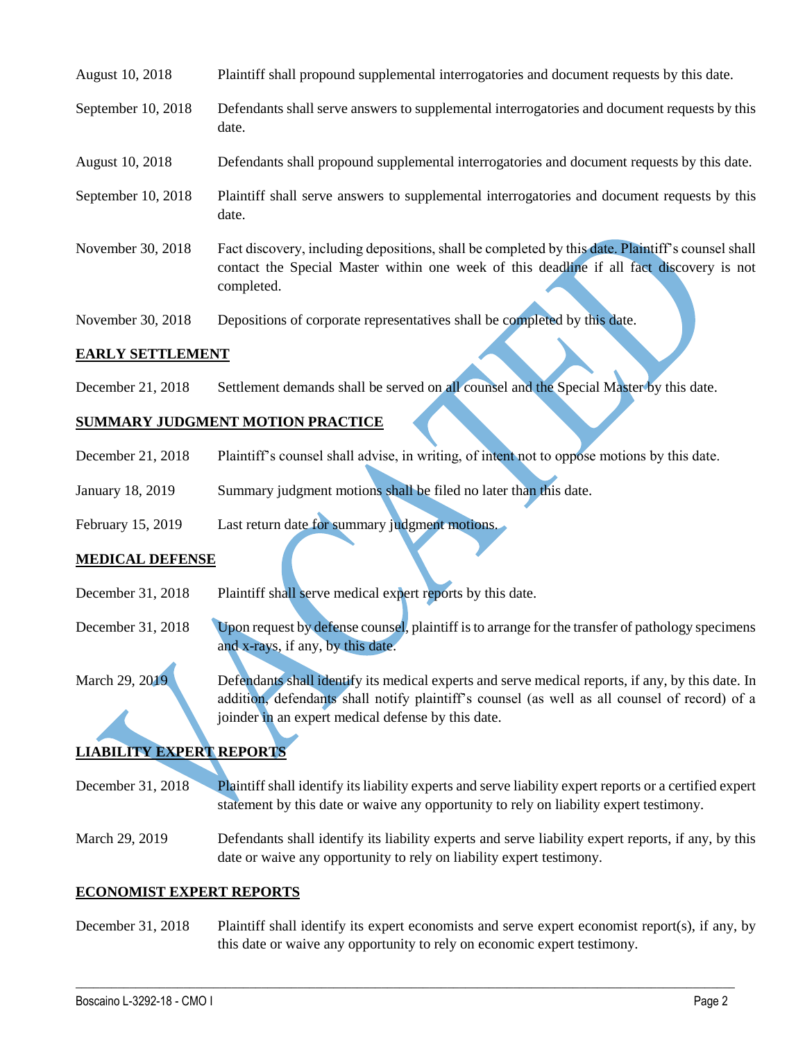| August 10, 2018    | Plaintiff shall propound supplemental interrogatories and document requests by this date.                                                                                                                   |
|--------------------|-------------------------------------------------------------------------------------------------------------------------------------------------------------------------------------------------------------|
| September 10, 2018 | Defendants shall serve answers to supplemental interrogatories and document requests by this<br>date.                                                                                                       |
| August 10, 2018    | Defendants shall propound supplemental interrogatories and document requests by this date.                                                                                                                  |
| September 10, 2018 | Plaintiff shall serve answers to supplemental interrogatories and document requests by this<br>date.                                                                                                        |
| November 30, 2018  | Fact discovery, including depositions, shall be completed by this date. Plaintiff's counsel shall<br>contact the Special Master within one week of this deadline if all fact discovery is not<br>completed. |

November 30, 2018 Depositions of corporate representatives shall be completed by this date.

#### **EARLY SETTLEMENT**

December 21, 2018 Settlement demands shall be served on all counsel and the Special Master by this date.

# **SUMMARY JUDGMENT MOTION PRACTICE**

- December 21, 2018 Plaintiff's counsel shall advise, in writing, of intent not to oppose motions by this date.
- January 18, 2019 Summary judgment motions shall be filed no later than this date.

February 15, 2019 Last return date for summary judgment motions.

### **MEDICAL DEFENSE**

- December 31, 2018 Plaintiff shall serve medical expert reports by this date.
- December 31, 2018 Upon request by defense counsel, plaintiff is to arrange for the transfer of pathology specimens and x-rays, if any, by this date.

March 29, 2019 Defendants shall identify its medical experts and serve medical reports, if any, by this date. In addition, defendants shall notify plaintiff's counsel (as well as all counsel of record) of a joinder in an expert medical defense by this date.

# **LIABILITY EXPERT REPORTS**

December 31, 2018 Plaintiff shall identify its liability experts and serve liability expert reports or a certified expert statement by this date or waive any opportunity to rely on liability expert testimony.

March 29, 2019 Defendants shall identify its liability experts and serve liability expert reports, if any, by this date or waive any opportunity to rely on liability expert testimony.

#### **ECONOMIST EXPERT REPORTS**

December 31, 2018 Plaintiff shall identify its expert economists and serve expert economist report(s), if any, by this date or waive any opportunity to rely on economic expert testimony.

 $\_$  ,  $\_$  ,  $\_$  ,  $\_$  ,  $\_$  ,  $\_$  ,  $\_$  ,  $\_$  ,  $\_$  ,  $\_$  ,  $\_$  ,  $\_$  ,  $\_$  ,  $\_$  ,  $\_$  ,  $\_$  ,  $\_$  ,  $\_$  ,  $\_$  ,  $\_$  ,  $\_$  ,  $\_$  ,  $\_$  ,  $\_$  ,  $\_$  ,  $\_$  ,  $\_$  ,  $\_$  ,  $\_$  ,  $\_$  ,  $\_$  ,  $\_$  ,  $\_$  ,  $\_$  ,  $\_$  ,  $\_$  ,  $\_$  ,